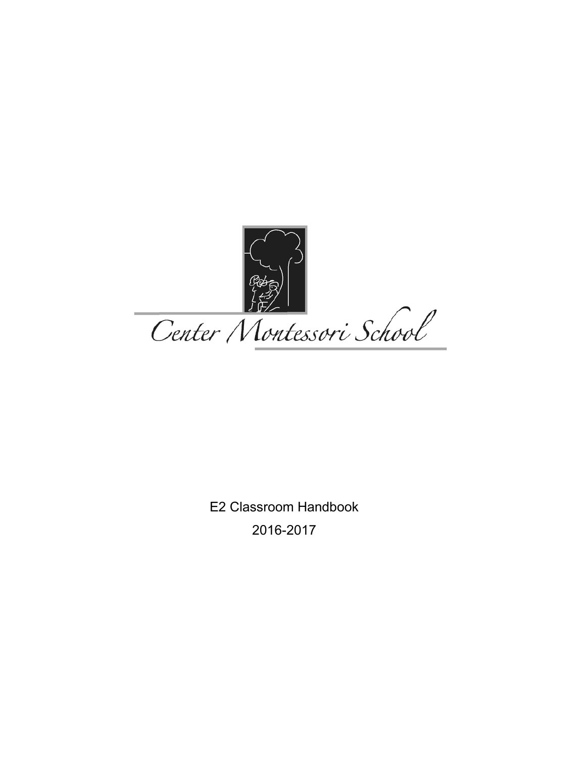

E2 Classroom Handbook 2016-2017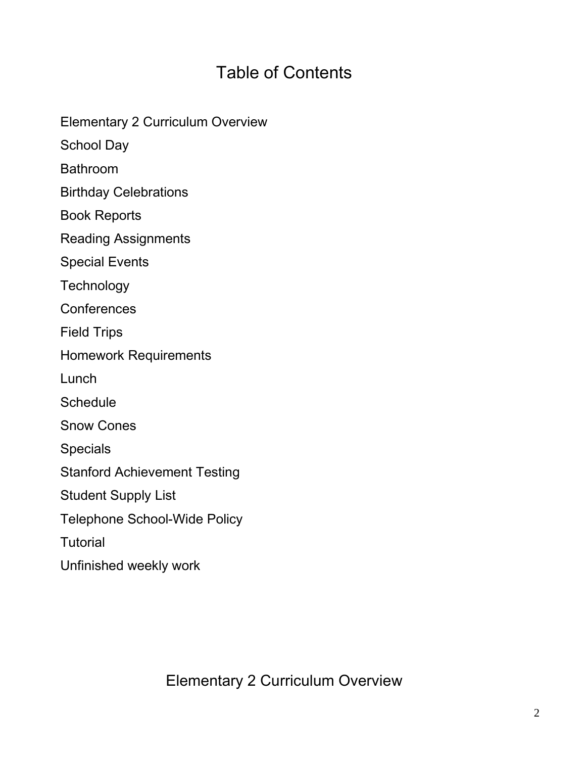# Table of Contents

Elementary 2 Curriculum Overview

School Day

Bathroom

Birthday Celebrations

Book Reports

Reading Assignments

Special Events

**Technology** 

**Conferences** 

Field Trips

Homework Requirements

Lunch

**Schedule** 

Snow Cones

Specials

Stanford Achievement Testing

Student Supply List

Telephone School-Wide Policy

**Tutorial** 

Unfinished weekly work

Elementary 2 Curriculum Overview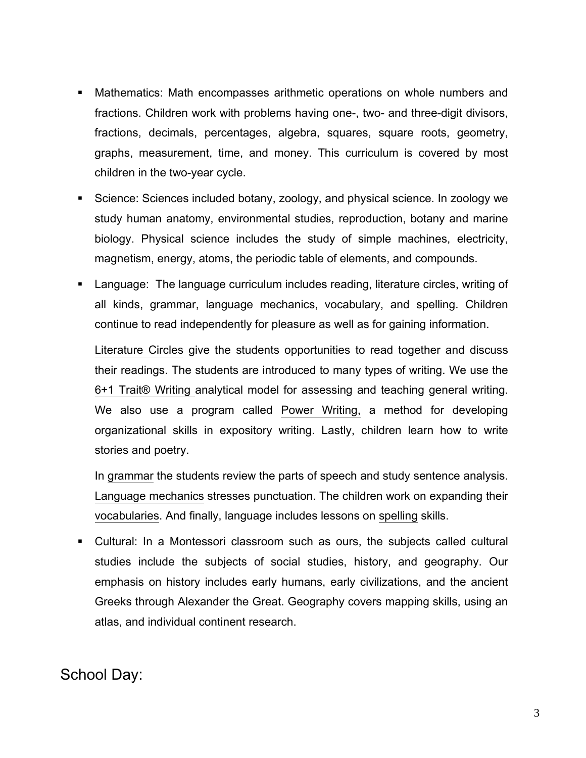- Mathematics: Math encompasses arithmetic operations on whole numbers and fractions. Children work with problems having one-, two- and three-digit divisors, fractions, decimals, percentages, algebra, squares, square roots, geometry, graphs, measurement, time, and money. This curriculum is covered by most children in the two-year cycle.
- Science: Sciences included botany, zoology, and physical science. In zoology we study human anatomy, environmental studies, reproduction, botany and marine biology. Physical science includes the study of simple machines, electricity, magnetism, energy, atoms, the periodic table of elements, and compounds.
- Language: The language curriculum includes reading, literature circles, writing of all kinds, grammar, language mechanics, vocabulary, and spelling. Children continue to read independently for pleasure as well as for gaining information.

Literature Circles give the students opportunities to read together and discuss their readings. The students are introduced to many types of writing. We use the 6+1 Trait® Writing analytical model for assessing and teaching general writing. We also use a program called Power Writing, a method for developing organizational skills in expository writing. Lastly, children learn how to write stories and poetry.

In grammar the students review the parts of speech and study sentence analysis. Language mechanics stresses punctuation. The children work on expanding their vocabularies. And finally, language includes lessons on spelling skills.

 Cultural: In a Montessori classroom such as ours, the subjects called cultural studies include the subjects of social studies, history, and geography. Our emphasis on history includes early humans, early civilizations, and the ancient Greeks through Alexander the Great. Geography covers mapping skills, using an atlas, and individual continent research.

#### School Day: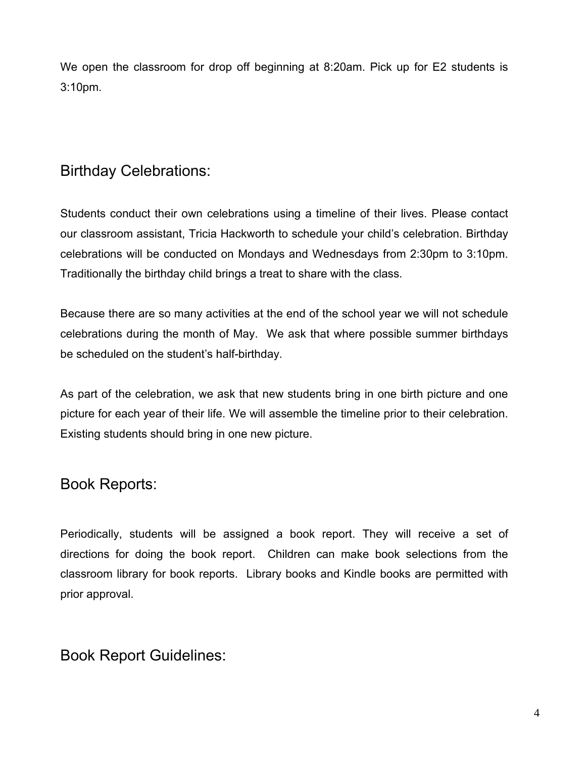We open the classroom for drop off beginning at 8:20am. Pick up for E2 students is 3:10pm.

### Birthday Celebrations:

Students conduct their own celebrations using a timeline of their lives. Please contact our classroom assistant, Tricia Hackworth to schedule your child's celebration. Birthday celebrations will be conducted on Mondays and Wednesdays from 2:30pm to 3:10pm. Traditionally the birthday child brings a treat to share with the class.

Because there are so many activities at the end of the school year we will not schedule celebrations during the month of May. We ask that where possible summer birthdays be scheduled on the student's half-birthday.

As part of the celebration, we ask that new students bring in one birth picture and one picture for each year of their life. We will assemble the timeline prior to their celebration. Existing students should bring in one new picture.

#### Book Reports:

Periodically, students will be assigned a book report. They will receive a set of directions for doing the book report. Children can make book selections from the classroom library for book reports. Library books and Kindle books are permitted with prior approval.

#### Book Report Guidelines: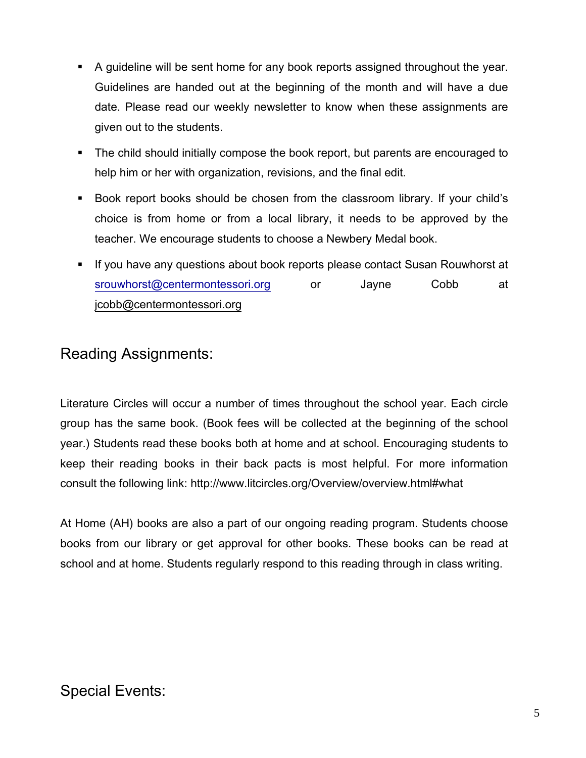- A guideline will be sent home for any book reports assigned throughout the year. Guidelines are handed out at the beginning of the month and will have a due date. Please read our weekly newsletter to know when these assignments are given out to the students.
- The child should initially compose the book report, but parents are encouraged to help him or her with organization, revisions, and the final edit.
- Book report books should be chosen from the classroom library. If your child's choice is from home or from a local library, it needs to be approved by the teacher. We encourage students to choose a Newbery Medal book.
- If you have any questions about book reports please contact Susan Rouwhorst at [srouwhorst@centermontessori.org](mailto:srouwhorst@centermontessori.org) or Jayne Cobb at [jcobb@centermontessori.org](mailto:jccmet@aol.com)

### Reading Assignments:

Literature Circles will occur a number of times throughout the school year. Each circle group has the same book. (Book fees will be collected at the beginning of the school year.) Students read these books both at home and at school. Encouraging students to keep their reading books in their back pacts is most helpful. For more information consult the following link: http://www.litcircles.org/Overview/overview.html#what

At Home (AH) books are also a part of our ongoing reading program. Students choose books from our library or get approval for other books. These books can be read at school and at home. Students regularly respond to this reading through in class writing.

# Special Events: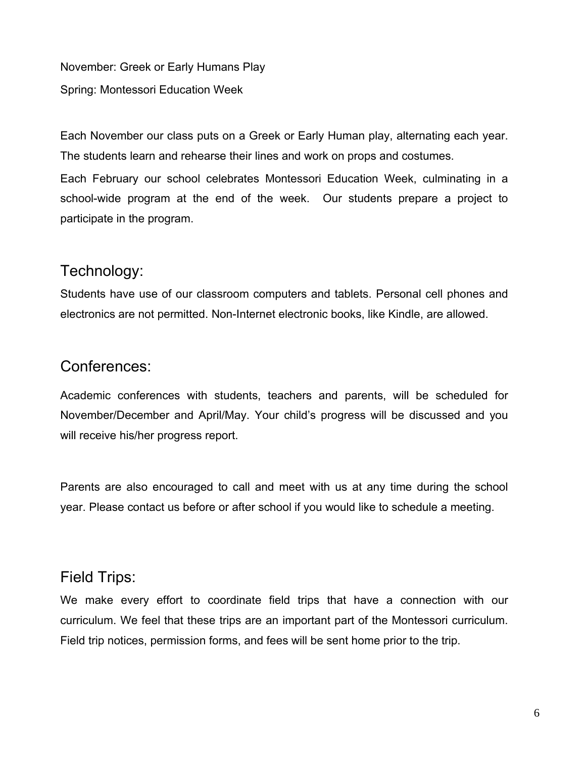November: Greek or Early Humans Play Spring: Montessori Education Week

Each November our class puts on a Greek or Early Human play, alternating each year. The students learn and rehearse their lines and work on props and costumes.

Each February our school celebrates Montessori Education Week, culminating in a school-wide program at the end of the week. Our students prepare a project to participate in the program.

#### Technology:

Students have use of our classroom computers and tablets. Personal cell phones and electronics are not permitted. Non-Internet electronic books, like Kindle, are allowed.

### Conferences:

Academic conferences with students, teachers and parents, will be scheduled for November/December and April/May. Your child's progress will be discussed and you will receive his/her progress report.

Parents are also encouraged to call and meet with us at any time during the school year. Please contact us before or after school if you would like to schedule a meeting.

#### Field Trips:

We make every effort to coordinate field trips that have a connection with our curriculum. We feel that these trips are an important part of the Montessori curriculum. Field trip notices, permission forms, and fees will be sent home prior to the trip.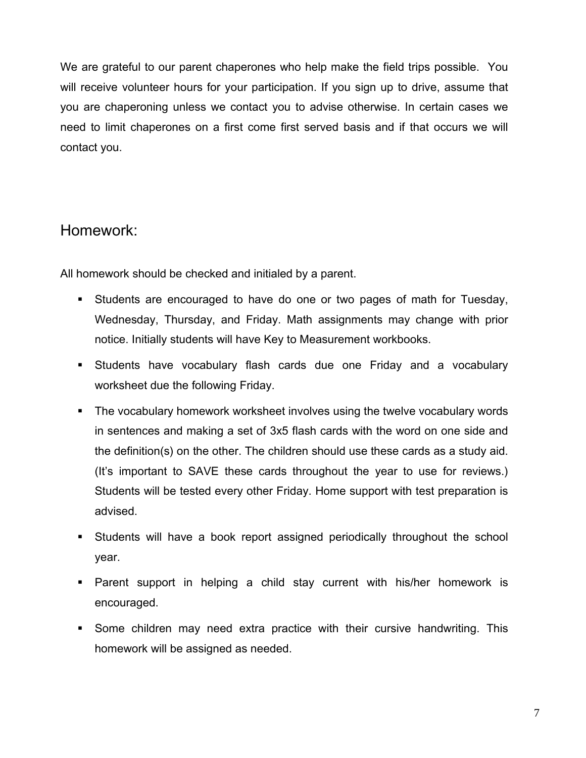We are grateful to our parent chaperones who help make the field trips possible. You will receive volunteer hours for your participation. If you sign up to drive, assume that you are chaperoning unless we contact you to advise otherwise. In certain cases we need to limit chaperones on a first come first served basis and if that occurs we will contact you.

#### Homework:

All homework should be checked and initialed by a parent.

- Students are encouraged to have do one or two pages of math for Tuesday, Wednesday, Thursday, and Friday. Math assignments may change with prior notice. Initially students will have Key to Measurement workbooks.
- Students have vocabulary flash cards due one Friday and a vocabulary worksheet due the following Friday.
- The vocabulary homework worksheet involves using the twelve vocabulary words in sentences and making a set of 3x5 flash cards with the word on one side and the definition(s) on the other. The children should use these cards as a study aid. (It's important to SAVE these cards throughout the year to use for reviews.) Students will be tested every other Friday. Home support with test preparation is advised.
- Students will have a book report assigned periodically throughout the school year.
- Parent support in helping a child stay current with his/her homework is encouraged.
- Some children may need extra practice with their cursive handwriting. This homework will be assigned as needed.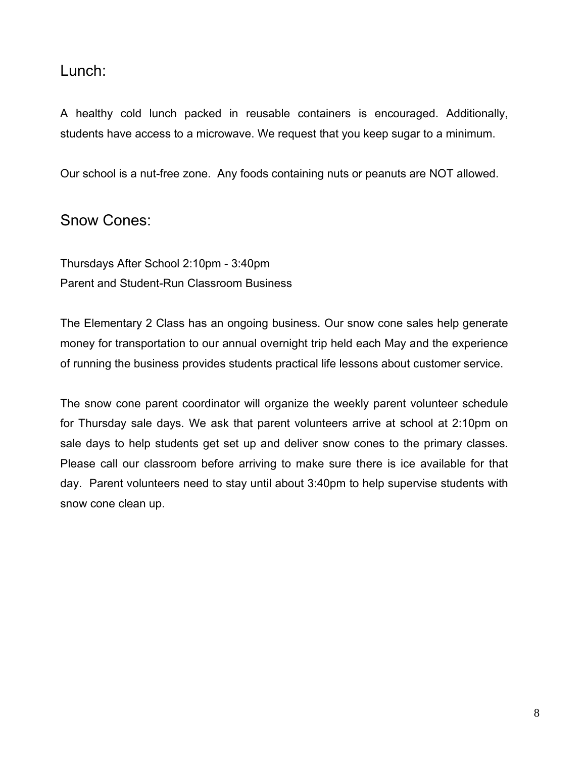#### Lunch:

A healthy cold lunch packed in reusable containers is encouraged. Additionally, students have access to a microwave. We request that you keep sugar to a minimum.

Our school is a nut-free zone. Any foods containing nuts or peanuts are NOT allowed.

#### Snow Cones:

Thursdays After School 2:10pm - 3:40pm Parent and Student-Run Classroom Business

The Elementary 2 Class has an ongoing business. Our snow cone sales help generate money for transportation to our annual overnight trip held each May and the experience of running the business provides students practical life lessons about customer service.

The snow cone parent coordinator will organize the weekly parent volunteer schedule for Thursday sale days. We ask that parent volunteers arrive at school at 2:10pm on sale days to help students get set up and deliver snow cones to the primary classes. Please call our classroom before arriving to make sure there is ice available for that day. Parent volunteers need to stay until about 3:40pm to help supervise students with snow cone clean up.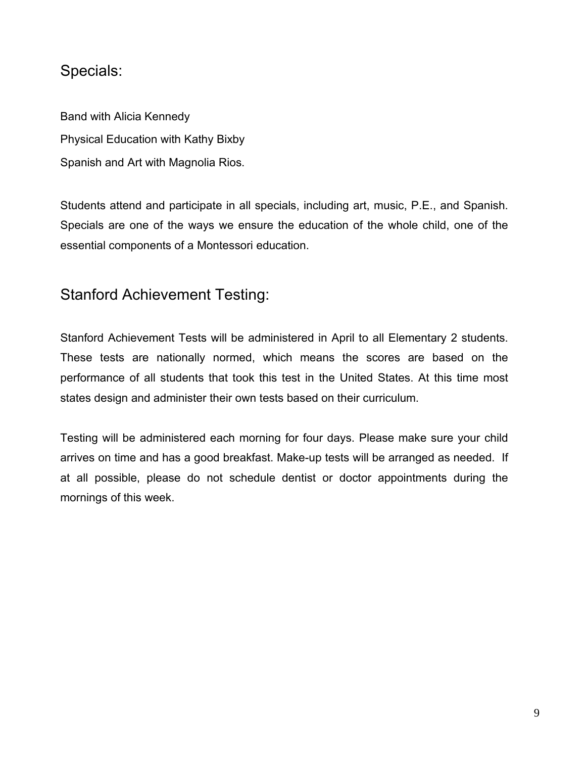### Specials:

Band with Alicia Kennedy Physical Education with Kathy Bixby Spanish and Art with Magnolia Rios.

Students attend and participate in all specials, including art, music, P.E., and Spanish. Specials are one of the ways we ensure the education of the whole child, one of the essential components of a Montessori education.

### Stanford Achievement Testing:

Stanford Achievement Tests will be administered in April to all Elementary 2 students. These tests are nationally normed, which means the scores are based on the performance of all students that took this test in the United States. At this time most states design and administer their own tests based on their curriculum.

Testing will be administered each morning for four days. Please make sure your child arrives on time and has a good breakfast. Make-up tests will be arranged as needed. If at all possible, please do not schedule dentist or doctor appointments during the mornings of this week.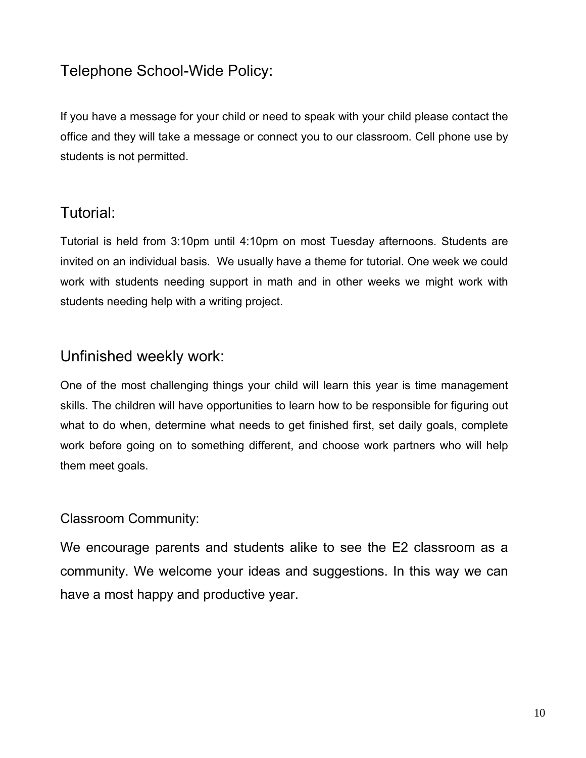# Telephone School-Wide Policy:

If you have a message for your child or need to speak with your child please contact the office and they will take a message or connect you to our classroom. Cell phone use by students is not permitted.

#### Tutorial:

Tutorial is held from 3:10pm until 4:10pm on most Tuesday afternoons. Students are invited on an individual basis. We usually have a theme for tutorial. One week we could work with students needing support in math and in other weeks we might work with students needing help with a writing project.

### Unfinished weekly work:

One of the most challenging things your child will learn this year is time management skills. The children will have opportunities to learn how to be responsible for figuring out what to do when, determine what needs to get finished first, set daily goals, complete work before going on to something different, and choose work partners who will help them meet goals.

#### Classroom Community:

We encourage parents and students alike to see the E2 classroom as a community. We welcome your ideas and suggestions. In this way we can have a most happy and productive year.